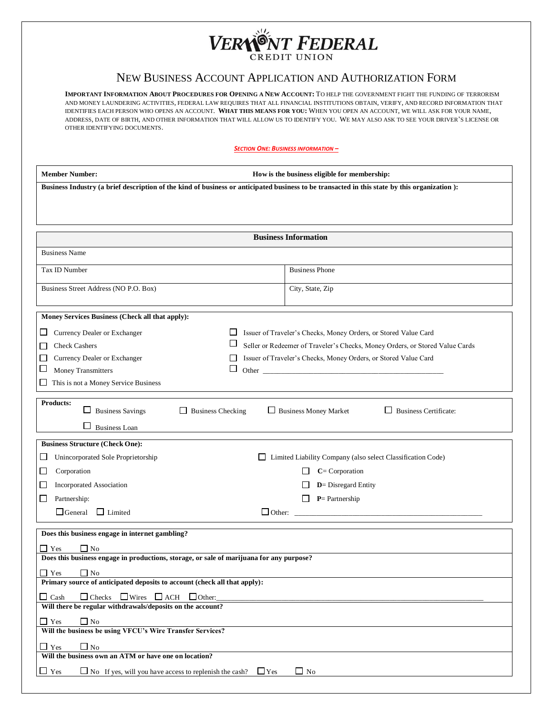## **NI** VERNONT FEDERAL

## NEW BUSINESS ACCOUNT APPLICATION AND AUTHORIZATION FORM

**IMPORTANT INFORMATION ABOUT PROCEDURES FOR OPENING A NEW ACCOUNT:** TO HELP THE GOVERNMENT FIGHT THE FUNDING OF TERRORISM AND MONEY LAUNDERING ACTIVITIES, FEDERAL LAW REQUIRES THAT ALL FINANCIAL INSTITUTIONS OBTAIN, VERIFY, AND RECORD INFORMATION THAT IDENTIFIES EACH PERSON WHO OPENS AN ACCOUNT. **WHAT THIS MEANS FOR YOU:** WHEN YOU OPEN AN ACCOUNT, WE WILL ASK FOR YOUR NAME, ADDRESS, DATE OF BIRTH, AND OTHER INFORMATION THAT WILL ALLOW US TO IDENTIFY YOU. WE MAY ALSO ASK TO SEE YOUR DRIVER'S LICENSE OR OTHER IDENTIFYING DOCUMENTS.

*SECTION ONE: BUSINESS INFORMATION –*

| Business Industry (a brief description of the kind of business or anticipated business to be transacted in this state by this organization): |  |  |  |  |  |
|----------------------------------------------------------------------------------------------------------------------------------------------|--|--|--|--|--|
|                                                                                                                                              |  |  |  |  |  |
|                                                                                                                                              |  |  |  |  |  |
|                                                                                                                                              |  |  |  |  |  |
|                                                                                                                                              |  |  |  |  |  |
| <b>Business Information</b>                                                                                                                  |  |  |  |  |  |
| <b>Business Name</b>                                                                                                                         |  |  |  |  |  |
| <b>Business Phone</b><br>Tax ID Number                                                                                                       |  |  |  |  |  |
| Business Street Address (NO P.O. Box)<br>City, State, Zip                                                                                    |  |  |  |  |  |
| Money Services Business (Check all that apply):                                                                                              |  |  |  |  |  |
| Issuer of Traveler's Checks, Money Orders, or Stored Value Card<br>Currency Dealer or Exchanger<br>ப<br>ப                                    |  |  |  |  |  |
| ப<br>Seller or Redeemer of Traveler's Checks, Money Orders, or Stored Value Cards<br><b>Check Cashers</b><br>$\mathbf{I}$                    |  |  |  |  |  |
| Currency Dealer or Exchanger<br>Issuer of Traveler's Checks, Money Orders, or Stored Value Card<br>$\mathsf{L}$<br>$\overline{\phantom{a}}$  |  |  |  |  |  |
| $\Box$<br>ப<br>Money Transmitters                                                                                                            |  |  |  |  |  |
| This is not a Money Service Business<br>ப                                                                                                    |  |  |  |  |  |
| <b>Products:</b>                                                                                                                             |  |  |  |  |  |
| □ Business Money Market<br>$\Box$ Business Checking<br>Business Certificate:<br><b>Business Savings</b><br>ப                                 |  |  |  |  |  |
| <b>Business Loan</b>                                                                                                                         |  |  |  |  |  |
| <b>Business Structure (Check One):</b>                                                                                                       |  |  |  |  |  |
| Unincorporated Sole Proprietorship<br>□ Limited Liability Company (also select Classification Code)<br>$\Box$                                |  |  |  |  |  |
| $C = Corporation$<br>Corporation<br>$\overline{\phantom{a}}$                                                                                 |  |  |  |  |  |
| Incorporated Association<br><b>D</b> = Disregard Entity<br>ட                                                                                 |  |  |  |  |  |
| $P =$ Partnership<br>Partnership:<br>ப                                                                                                       |  |  |  |  |  |
| $\Box$ General<br>$\Box$ Limited<br>$\Box$ Other: $\Box$                                                                                     |  |  |  |  |  |
| Does this business engage in internet gambling?                                                                                              |  |  |  |  |  |
| $Y$ es<br>No                                                                                                                                 |  |  |  |  |  |
| Does this business engage in productions, storage, or sale of marijuana for any purpose?                                                     |  |  |  |  |  |
| $\Box$ Yes<br>$\Box$ No                                                                                                                      |  |  |  |  |  |
| Primary source of anticipated deposits to account (check all that apply):                                                                    |  |  |  |  |  |
| $\Box$ Checks $\Box$ Wires $\Box$ ACH $\Box$ Other:<br>$\Box$ Cash                                                                           |  |  |  |  |  |
| Will there be regular withdrawals/deposits on the account?                                                                                   |  |  |  |  |  |
| $\Box$ Yes<br>$\Box$ No<br>Will the business be using VFCU's Wire Transfer Services?                                                         |  |  |  |  |  |
|                                                                                                                                              |  |  |  |  |  |
| $\Box$ Yes<br>$\Box$ No<br>Will the business own an ATM or have one on location?                                                             |  |  |  |  |  |
| $\Box$ Yes<br>$\Box$ No If yes, will you have access to replenish the cash?<br>$\Box$ No<br>$\Box$ Yes                                       |  |  |  |  |  |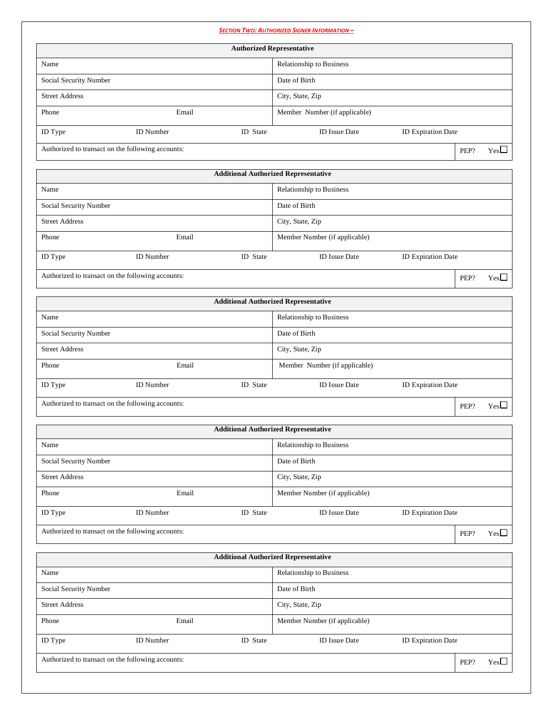|                        |                                                   |          | <b>SECTION TWO: AUTHORIZED SIGNER INFORMATION -</b> |                           |      |              |
|------------------------|---------------------------------------------------|----------|-----------------------------------------------------|---------------------------|------|--------------|
|                        |                                                   |          | <b>Authorized Representative</b>                    |                           |      |              |
| Name                   |                                                   |          | Relationship to Business                            |                           |      |              |
| Social Security Number |                                                   |          | Date of Birth                                       |                           |      |              |
| <b>Street Address</b>  |                                                   |          | City, State, Zip                                    |                           |      |              |
| Phone                  | Email                                             |          | Member Number (if applicable)                       |                           |      |              |
| ID Type                | <b>ID</b> Number                                  | ID State | <b>ID</b> Issue Date                                | <b>ID Expiration Date</b> |      |              |
|                        | Authorized to transact on the following accounts: |          |                                                     |                           | PEP? | $Yes\square$ |
|                        |                                                   |          | <b>Additional Authorized Representative</b>         |                           |      |              |
| Name                   |                                                   |          | Relationship to Business                            |                           |      |              |
| Social Security Number |                                                   |          | Date of Birth                                       |                           |      |              |
| <b>Street Address</b>  |                                                   |          | City, State, Zip                                    |                           |      |              |
| Phone                  | Email                                             |          | Member Number (if applicable)                       |                           |      |              |
| ID Type                | <b>ID</b> Number                                  | ID State | <b>ID Issue Date</b>                                | ID Expiration Date        |      |              |
|                        | Authorized to transact on the following accounts: |          |                                                     |                           |      |              |
|                        |                                                   |          |                                                     |                           | PEP? | $Yes\square$ |
|                        |                                                   |          | <b>Additional Authorized Representative</b>         |                           |      |              |
| Name                   |                                                   |          | Relationship to Business                            |                           |      |              |
| Social Security Number |                                                   |          | Date of Birth                                       |                           |      |              |
| <b>Street Address</b>  |                                                   |          | City, State, Zip                                    |                           |      |              |
| Phone                  | Email                                             |          | Member Number (if applicable)                       |                           |      |              |
| ID Type                | <b>ID</b> Number                                  | ID State | <b>ID Issue Date</b>                                | ID Expiration Date        |      |              |
|                        | Authorized to transact on the following accounts: |          |                                                     |                           | PEP? | $Yes\square$ |
|                        |                                                   |          | <b>Additional Authorized Representative</b>         |                           |      |              |
| Name                   |                                                   |          | Relationship to Business                            |                           |      |              |
| Social Security Number |                                                   |          | Date of Birth                                       |                           |      |              |
| <b>Street Address</b>  |                                                   |          | City, State, Zip                                    |                           |      |              |
| Phone                  | Email                                             |          | Member Number (if applicable)                       |                           |      |              |
|                        | <b>ID</b> Number                                  | ID State | <b>ID</b> Issue Date                                |                           |      |              |
| ID Type                |                                                   |          |                                                     | ID Expiration Date        |      |              |
|                        | Authorized to transact on the following accounts: |          |                                                     |                           | PEP? | $Yes\square$ |
|                        |                                                   |          | <b>Additional Authorized Representative</b>         |                           |      |              |
| Name                   |                                                   |          | Relationship to Business                            |                           |      |              |
| Social Security Number |                                                   |          | Date of Birth                                       |                           |      |              |
| <b>Street Address</b>  |                                                   |          | City, State, Zip                                    |                           |      |              |
| Phone                  | Email                                             |          | Member Number (if applicable)                       |                           |      |              |
| ID Type                | <b>ID</b> Number                                  | ID State | <b>ID</b> Issue Date                                | ID Expiration Date        |      |              |
|                        | Authorized to transact on the following accounts: |          |                                                     |                           | PEP? | $Yes\square$ |
|                        |                                                   |          |                                                     |                           |      |              |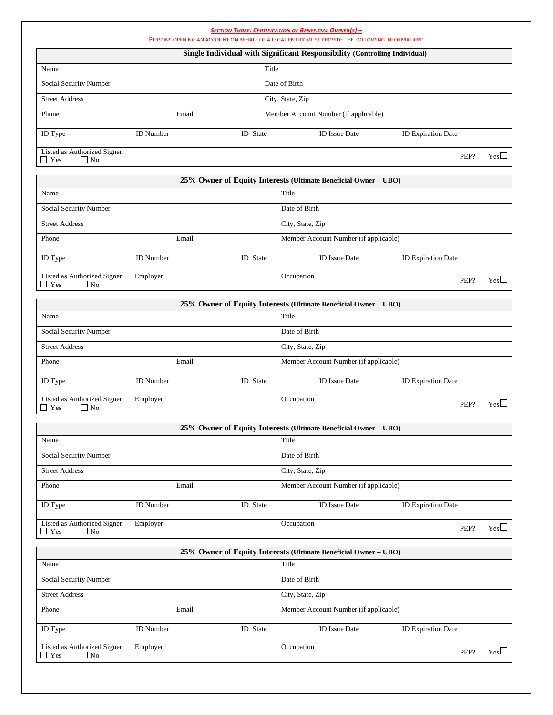|                                                              |                                                                                   |                                       |               | <b>SECTION THREE: CERTIFICATION OF BENEFICIAL OWNER(S) -</b><br>PERSONS OPENING AN ACCOUNT ON BEHALF OF A LEGAL ENTITY MUST PROVIDE THE FOLLOWING INFORMATION: |                           |      |              |
|--------------------------------------------------------------|-----------------------------------------------------------------------------------|---------------------------------------|---------------|----------------------------------------------------------------------------------------------------------------------------------------------------------------|---------------------------|------|--------------|
|                                                              |                                                                                   |                                       |               | Single Individual with Significant Responsibility (Controlling Individual)                                                                                     |                           |      |              |
| Title<br>Name                                                |                                                                                   |                                       |               |                                                                                                                                                                |                           |      |              |
| Social Security Number                                       |                                                                                   |                                       |               | Date of Birth                                                                                                                                                  |                           |      |              |
| <b>Street Address</b>                                        |                                                                                   |                                       |               | City, State, Zip                                                                                                                                               |                           |      |              |
| Phone                                                        | Email                                                                             |                                       |               | Member Account Number (if applicable)                                                                                                                          |                           |      |              |
| ID Type                                                      | <b>ID</b> Number                                                                  | ID State                              |               | <b>ID</b> Issue Date                                                                                                                                           | <b>ID Expiration Date</b> |      |              |
|                                                              |                                                                                   |                                       |               |                                                                                                                                                                |                           |      |              |
| Listed as Authorized Signer:<br>$\Box$ No<br><b>Yes</b>      |                                                                                   |                                       |               |                                                                                                                                                                |                           | PEP? | $Yes\square$ |
|                                                              |                                                                                   |                                       |               | 25% Owner of Equity Interests (Ultimate Beneficial Owner - UBO)                                                                                                |                           |      |              |
| Name                                                         |                                                                                   |                                       |               | Title                                                                                                                                                          |                           |      |              |
| Social Security Number                                       |                                                                                   |                                       |               | Date of Birth                                                                                                                                                  |                           |      |              |
| <b>Street Address</b>                                        |                                                                                   |                                       |               | City, State, Zip                                                                                                                                               |                           |      |              |
| Phone                                                        | Email                                                                             |                                       |               | Member Account Number (if applicable)                                                                                                                          |                           |      |              |
| ID Type                                                      | <b>ID</b> Number                                                                  | ID State                              |               | <b>ID</b> Issue Date                                                                                                                                           | <b>ID Expiration Date</b> |      |              |
| Listed as Authorized Signer:                                 |                                                                                   |                                       |               | Occupation                                                                                                                                                     |                           |      |              |
| $\Box$ Yes<br>$\Box$ No                                      | Employer                                                                          |                                       |               |                                                                                                                                                                |                           | PEP? | $Yes\square$ |
|                                                              |                                                                                   |                                       |               | 25% Owner of Equity Interests (Ultimate Beneficial Owner - UBO)                                                                                                |                           |      |              |
| Name                                                         |                                                                                   |                                       |               | Title                                                                                                                                                          |                           |      |              |
| Social Security Number                                       |                                                                                   |                                       | Date of Birth |                                                                                                                                                                |                           |      |              |
| <b>Street Address</b>                                        |                                                                                   | City, State, Zip                      |               |                                                                                                                                                                |                           |      |              |
| Phone<br>Email                                               |                                                                                   | Member Account Number (if applicable) |               |                                                                                                                                                                |                           |      |              |
| ID Type                                                      | <b>ID</b> Number<br>ID State<br><b>ID</b> Issue Date<br><b>ID Expiration Date</b> |                                       |               |                                                                                                                                                                |                           |      |              |
| Listed as Authorized Signer:<br>$\mathbf{Y}$ es<br>$\Box$ No | Employer                                                                          |                                       |               | Occupation                                                                                                                                                     |                           | PEP? | $Yes\square$ |
|                                                              |                                                                                   |                                       |               | 25% Owner of Equity Interests (Ultimate Beneficial Owner - UBO)                                                                                                |                           |      |              |
| Name                                                         |                                                                                   |                                       |               | Title                                                                                                                                                          |                           |      |              |
| Social Security Number                                       |                                                                                   |                                       |               | Date of Birth                                                                                                                                                  |                           |      |              |
| <b>Street Address</b>                                        |                                                                                   |                                       |               | City, State, Zip                                                                                                                                               |                           |      |              |
| Phone                                                        | Email                                                                             |                                       |               | Member Account Number (if applicable)                                                                                                                          |                           |      |              |
|                                                              |                                                                                   |                                       |               |                                                                                                                                                                |                           |      |              |
| ID Type                                                      | <b>ID</b> Number                                                                  | ID State                              |               | <b>ID</b> Issue Date                                                                                                                                           | <b>ID Expiration Date</b> |      |              |
| Listed as Authorized Signer:<br>$\Box$ Yes<br>$\Box$ No      | Employer                                                                          |                                       |               | Occupation                                                                                                                                                     |                           | PEP? | $Yes\square$ |
|                                                              |                                                                                   |                                       |               | 25% Owner of Equity Interests (Ultimate Beneficial Owner - UBO)                                                                                                |                           |      |              |
| Name                                                         |                                                                                   |                                       |               | Title                                                                                                                                                          |                           |      |              |
| Social Security Number                                       |                                                                                   |                                       |               | Date of Birth                                                                                                                                                  |                           |      |              |
| <b>Street Address</b>                                        |                                                                                   |                                       |               | City, State, Zip                                                                                                                                               |                           |      |              |
| Phone                                                        | Email                                                                             |                                       |               | Member Account Number (if applicable)                                                                                                                          |                           |      |              |
| ID Type                                                      | <b>ID</b> Number                                                                  | ID State                              |               | <b>ID</b> Issue Date                                                                                                                                           | <b>ID Expiration Date</b> |      |              |
| Listed as Authorized Signer:<br>$\Box$ Yes<br>$\Box$ No      | Employer                                                                          |                                       |               | Occupation                                                                                                                                                     |                           | PEP? | $Yes\square$ |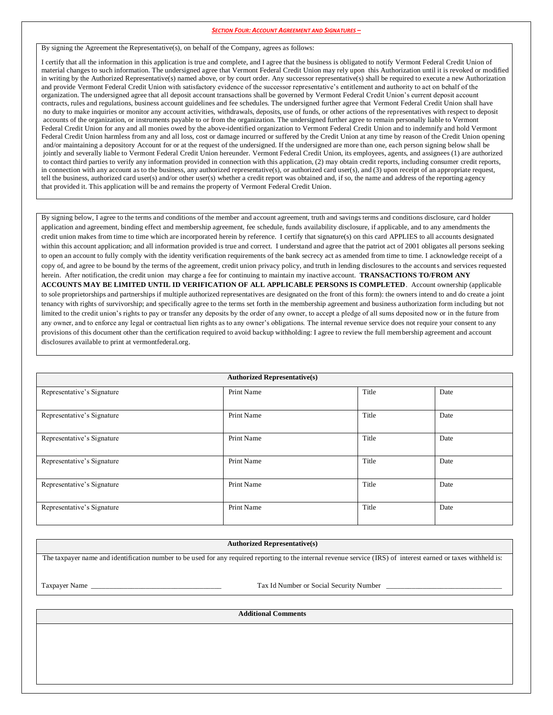## *SECTION FOUR: ACCOUNT AGREEMENT AND SIGNATURES –*

By signing the Agreement the Representative(s), on behalf of the Company, agrees as follows:

I certify that all the information in this application is true and complete, and I agree that the business is obligated to notify Vermont Federal Credit Union of material changes to such information. The undersigned agree that Vermont Federal Credit Union may rely upon this Authorization until it is revoked or modified in writing by the Authorized Representative(s) named above, or by court order. Any successor representative(s) shall be required to execute a new Authorization and provide Vermont Federal Credit Union with satisfactory evidence of the successor representative's entitlement and authority to act on behalf of the organization. The undersigned agree that all deposit account transactions shall be governed by Vermont Federal Credit Union's current deposit account contracts, rules and regulations, business account guidelines and fee schedules. The undersigned further agree that Vermont Federal Credit Union shall have no duty to make inquiries or monitor any account activities, withdrawals, deposits, use of funds, or other actions of the representatives with respect to deposit accounts of the organization, or instruments payable to or from the organization. The undersigned further agree to remain personally liable to Vermont Federal Credit Union for any and all monies owed by the above-identified organization to Vermont Federal Credit Union and to indemnify and hold Vermont Federal Credit Union harmless from any and all loss, cost or damage incurred or suffered by the Credit Union at any time by reason of the Credit Union opening and/or maintaining a depository Account for or at the request of the undersigned. If the undersigned are more than one, each person signing below shall be jointly and severally liable to Vermont Federal Credit Union hereunder. Vermont Federal Credit Union, its employees, agents, and assignees (1) are authorized to contact third parties to verify any information provided in connection with this application, (2) may obtain credit reports, including consumer credit reports, in connection with any account as to the business, any authorized representative(s), or authorized card user(s), and (3) upon receipt of an appropriate request, tell the business, authorized card user(s) and/or other user(s) whether a credit report was obtained and, if so, the name and address of the reporting agency that provided it. This application will be and remains the property of Vermont Federal Credit Union.

By signing below, I agree to the terms and conditions of the member and account agreement, truth and savings terms and conditions disclosure, card holder application and agreement, binding effect and membership agreement, fee schedule, funds availability disclosure, if applicable, and to any amendments the credit union makes from time to time which are incorporated herein by reference. I certify that signature(s) on this card APPLIES to all accounts designated within this account application; and all information provided is true and correct. I understand and agree that the patriot act of 2001 obligates all persons seeking to open an account to fully comply with the identity verification requirements of the bank secrecy act as amended from time to time. I acknowledge receipt of a copy of, and agree to be bound by the terms of the agreement, credit union privacy policy, and truth in lending disclosures to the accounts and services requested herein. After notification, the credit union may charge a fee for continuing to maintain my inactive account. **TRANSACTIONS TO/FROM ANY ACCOUNTS MAY BE LIMITED UNTIL ID VERIFICATION OF ALL APPLICABLE PERSONS IS COMPLETED**. Account ownership (applicable to sole proprietorships and partnerships if multiple authorized representatives are designated on the front of this form): the owners intend to and do create a joint tenancy with rights of survivorship; and specifically agree to the terms set forth in the membership agreement and business authorization form including but not limited to the credit union's rights to pay or transfer any deposits by the order of any owner, to accept a pledge of all sums deposited now or in the future from any owner, and to enforce any legal or contractual lien rights as to any owner's obligations. The internal revenue service does not require your consent to any provisions of this document other than the certification required to avoid backup withholding: I agree to review the full membership agreement and account disclosures available to print at vermontfederal.org.

| <b>Authorized Representative(s)</b> |            |       |      |  |  |
|-------------------------------------|------------|-------|------|--|--|
| Representative's Signature          | Print Name | Title | Date |  |  |
| Representative's Signature          | Print Name | Title | Date |  |  |
| Representative's Signature          | Print Name | Title | Date |  |  |
| Representative's Signature          | Print Name | Title | Date |  |  |
| Representative's Signature          | Print Name | Title | Date |  |  |
| Representative's Signature          | Print Name | Title | Date |  |  |

## **Authorized Representative(s)**

The taxpayer name and identification number to be used for any required reporting to the internal revenue service (IRS) of interest earned or taxes withheld is:

Taxpayer Name \_\_\_\_\_\_\_\_\_\_\_\_\_\_\_\_\_\_\_\_\_\_\_\_\_\_\_\_\_\_\_\_\_\_\_\_ Tax Id Number or Social Security Number \_\_\_\_\_\_\_\_\_\_\_\_\_\_\_\_\_\_\_\_\_\_\_\_\_\_\_\_\_\_\_\_

**Additional Comments**